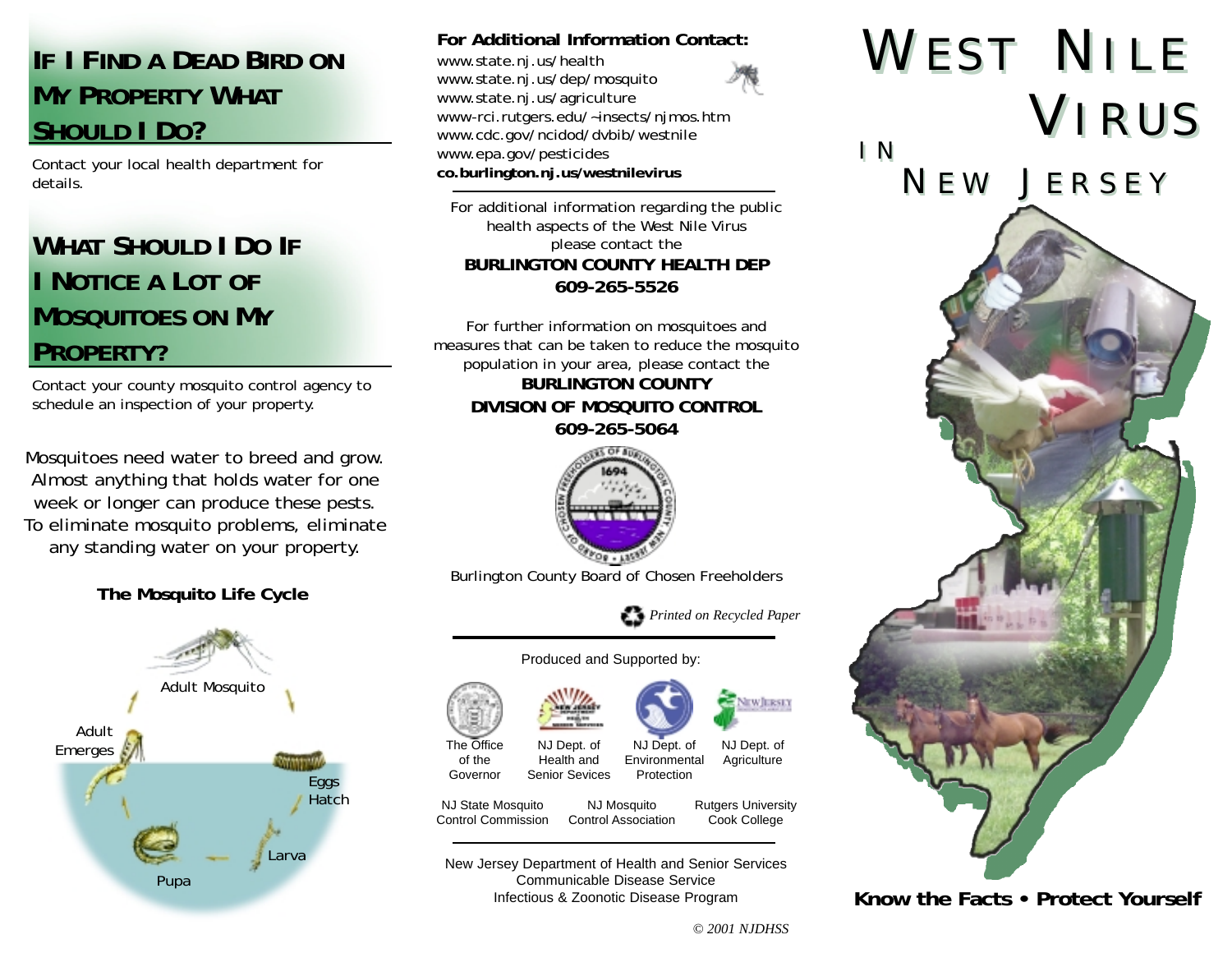#### **IF I FIND A DEAD BIRD ON MY PROPERTY WHAT SHOULD I DO?**

Contact your local health department for details.

#### **WHAT SHOULD I DO IF I NOTICE A LOT OF MOSQUITOES ON MY PROPERTY?**

Contact your county mosquito control agency to schedule an inspection of your property.

Mosquitoes need water to breed and grow. Almost anything that holds water for one week or longer can produce these pests. To eliminate mosquito problems, eliminate any standing water on your property.

#### **The Mosquito Life Cycle**



#### **For Additional Information Contact:**

www.state.nj.us/health www.state.nj.us/dep/mosquito www.state.nj.us/agriculture www-rci.rutgers.edu/~insects/njmos.htm www.cdc.gov/ncidod/dvbib/westnile www.epa.gov/pesticides **co.burlington.nj.us/westnilevirus**

For additional information regarding the public health aspects of the West Nile Virus please contact the **BURLINGTON COUNTY HEALTH DEP 609-265-5526**

For further information on mosquitoes and measures that can be taken to reduce the mosquito population in your area, please contact the **BURLINGTON COUNTY DIVISION OF MOSQUITO CONTROL 609-265-5064**



Burlington County Board of Chosen Freeholders

*Printed on Recycled Paper*

#### Produced and Supported by:



of the



NJ Dept. of

The Office Governor NJ Dept. of Health and Senior Sevices

Environmental Protection NJ Dept. of **Agriculture** 

NJ State Mosquito Control Commission NJ Mosquito Control Association

**Rutgers University** Cook College

WERSEY

New Jersey Department of Health and Senior Services Communicable Disease Service Infectious & Zoonotic Disease Program





**Know the Facts • Protect Yourself**